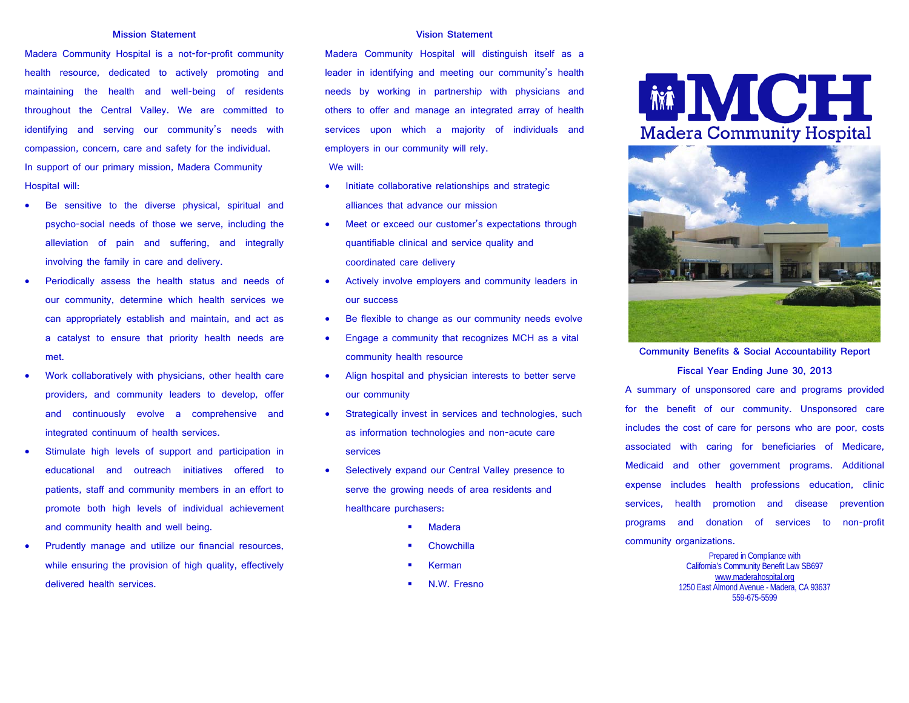#### **Mission Statement**

Madera Community Hospital is a not-for-profit community health resource, dedicated to actively promoting and maintaining the health and well-being of residents throughout the Central Valley. We are committed to identifying and serving our community's needs with compassion, concern, care and safety for the individual. In support of our primary mission, Madera Community Hospital will:

- Be sensitive to the diverse physical, spiritual and psycho-social needs of those we serve, including the alleviation of pain and suffering, and integrally involving the family in care and delivery.
- Periodically assess the health status and needs of our community, determine which health services we can appropriately establish and maintain, and act as a catalyst to ensure that priority health needs are met.
- Work collaboratively with physicians, other health care providers, and community leaders to develop, offer and continuously evolve a comprehensive and integrated continuum of health services.
- Stimulate high levels of support and participation in educational and outreach initiatives offered to patients, staff and community members in an effort to promote both high levels of individual achievement and community health and well being.
- Prudently manage and utilize our financial resources, while ensuring the provision of high quality, effectively delivered health services.

#### **Vision Statement**

Madera Community Hospital will distinguish itself as a leader in identifying and meeting our community's health needs by working in partnership with physicians and others to offer and manage an integrated array of health services upon which a majority of individuals and employers in our community will rely.

We will:

- Initiate collaborative relationships and strategic alliances that advance our mission
- Meet or exceed our customer's expectations through quantifiable clinical and service quality and coordinated care delivery
- Actively involve employers and community leaders in our success
- Be flexible to change as our community needs evolve
- Engage a community that recognizes MCH as a vital community health resource
- Align hospital and physician interests to better serve our community
- Strategically invest in services and technologies, such as information technologies and non-acute care services
- Selectively expand our Central Valley presence to serve the growing needs of area residents and healthcare purchasers:
	- Madera
	- **Chowchilla**
	- Kerman
	- N.W. Fresno

# **MOH Madera Community Hospital**



**Community Benefits & Social Accountability Report Fiscal Year Ending June 30, 2013**

A summary of unsponsored care and programs provided for the benefit of our community. Unsponsored care includes the cost of care for persons who are poor, costs associated with caring for beneficiaries of Medicare, Medicaid and other government programs. Additional expense includes health professions education, clinic services, health promotion and disease prevention programs and donation of services to non-profit community organizations.

> Prepared in Compliance with California's Community Benefit Law SB697 [www.maderahospital.org](http://www.maderahospital.org/) 1250 East Almond Avenue - Madera, CA 93637 559-675-5599